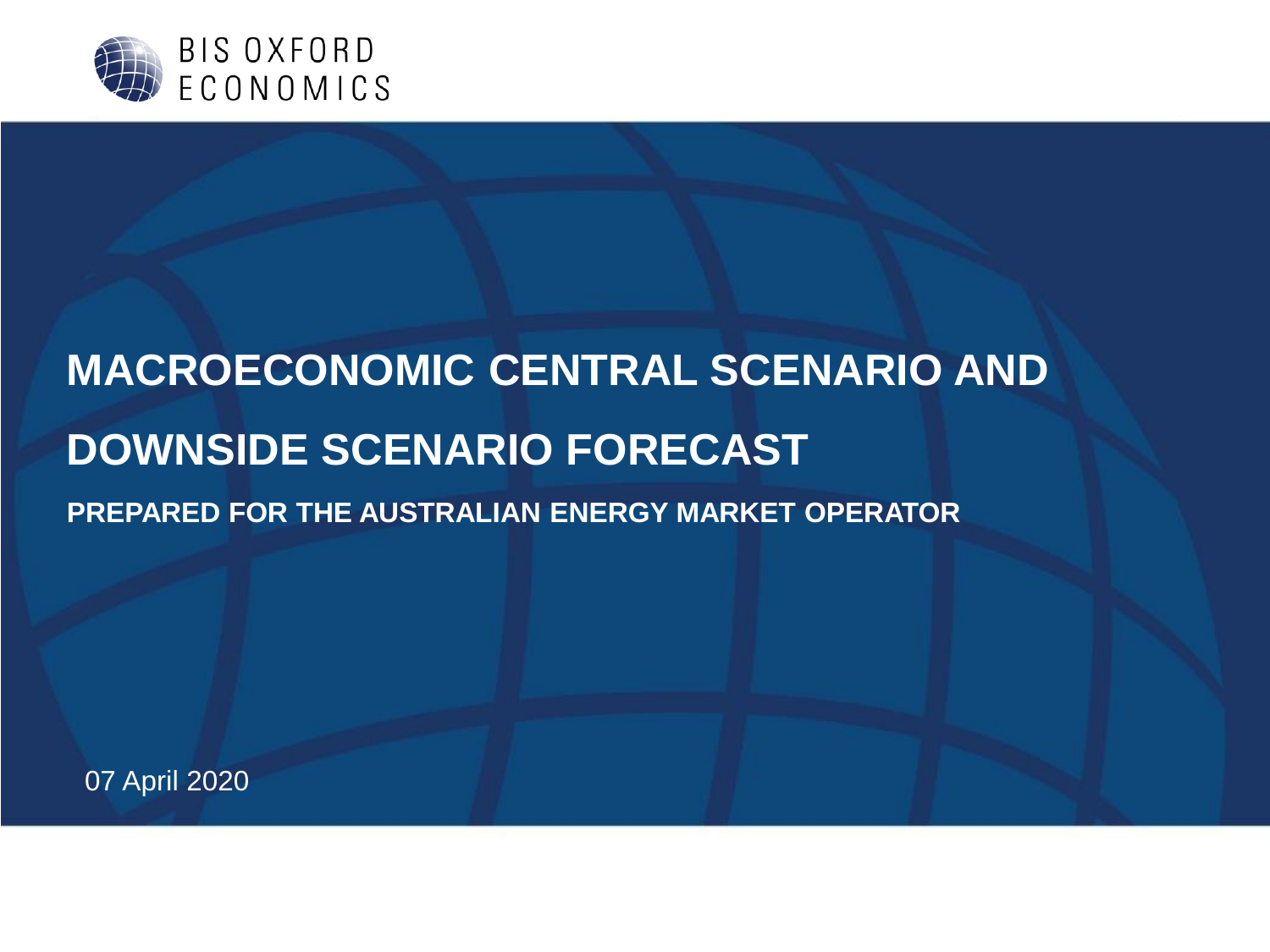

# **MACROECONOMIC CENTRAL SCENARIO AND DOWNSIDE SCENARIO FORECAST PREPARED FOR THE AUSTRALIAN ENERGY MARKET OPERATOR**

07 April 2020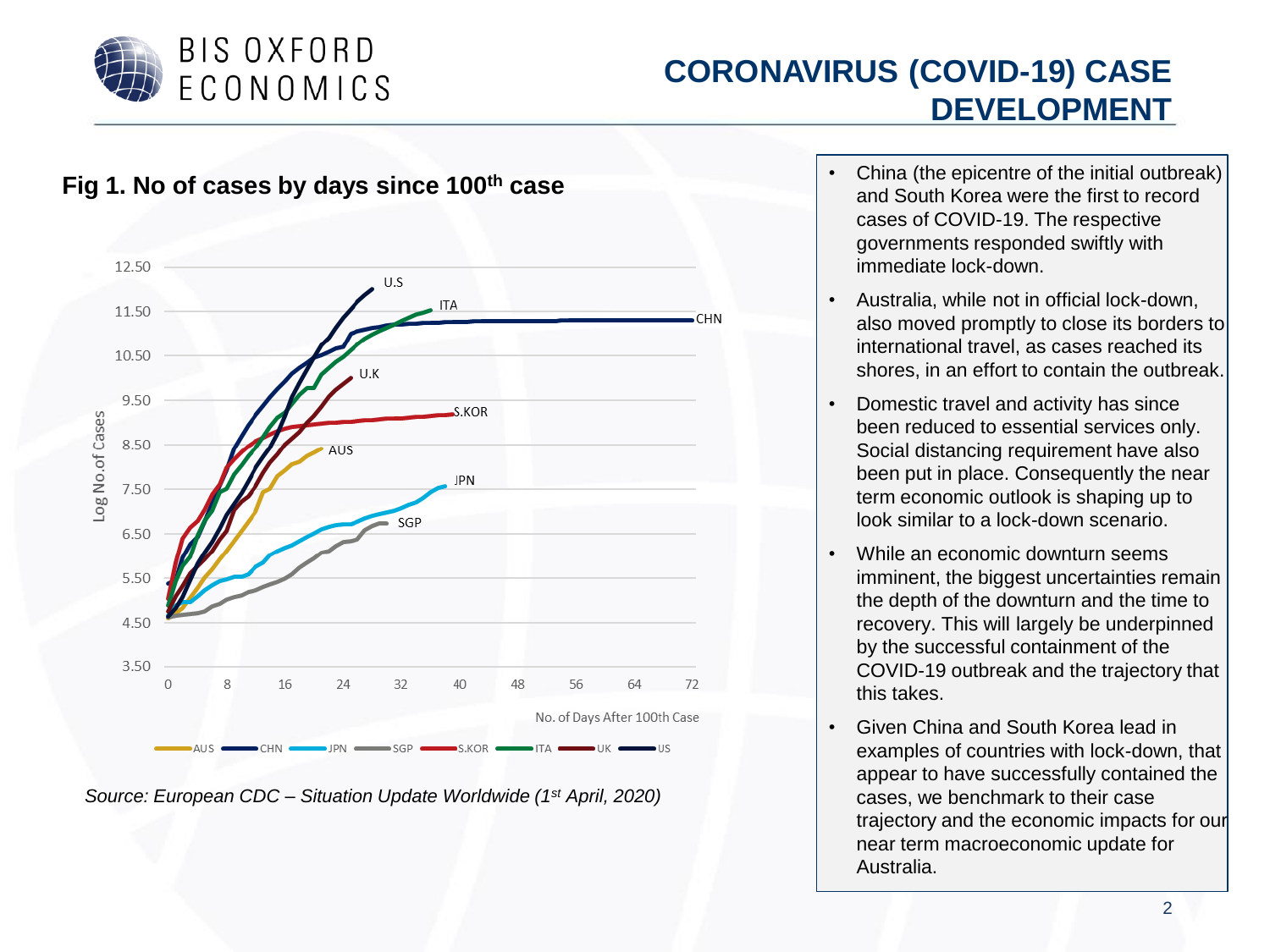

#### **CORONAVIRUS (COVID-19) CASE DEVELOPMENT**



*Source: European CDC – Situation Update Worldwide (1st April, 2020)*

- China (the epicentre of the initial outbreak) and South Korea were the first to record cases of COVID-19. The respective governments responded swiftly with immediate lock-down.
- Australia, while not in official lock-down, also moved promptly to close its borders to international travel, as cases reached its shores, in an effort to contain the outbreak.
- Domestic travel and activity has since been reduced to essential services only. Social distancing requirement have also been put in place. Consequently the near term economic outlook is shaping up to look similar to a lock-down scenario.
- While an economic downturn seems imminent, the biggest uncertainties remain the depth of the downturn and the time to recovery. This will largely be underpinned by the successful containment of the COVID-19 outbreak and the trajectory that this takes.
- Given China and South Korea lead in examples of countries with lock-down, that appear to have successfully contained the cases, we benchmark to their case trajectory and the economic impacts for our near term macroeconomic update for Australia.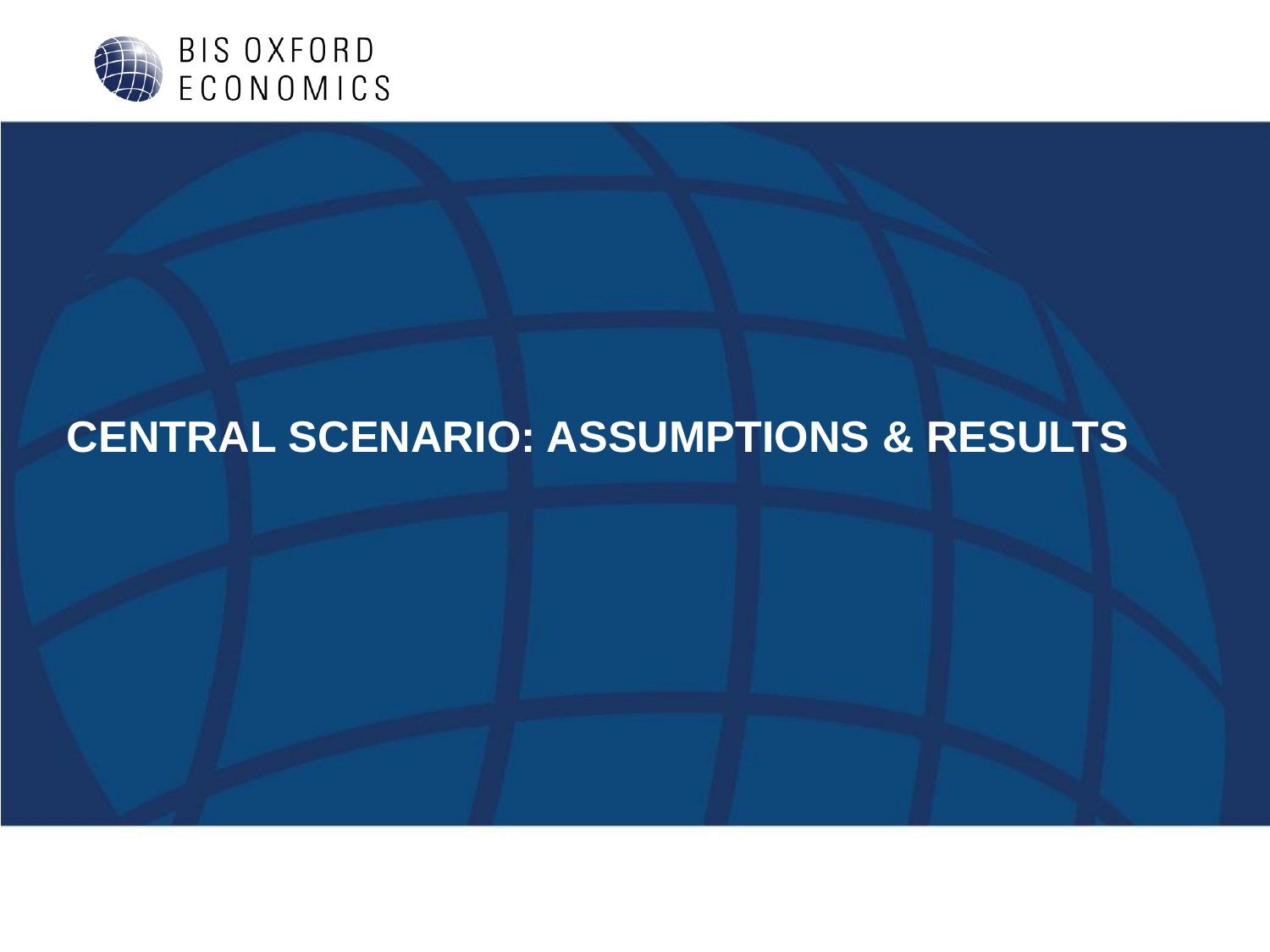

# **CENTRAL SCENARIO: ASSUMPTIONS & RESULTS**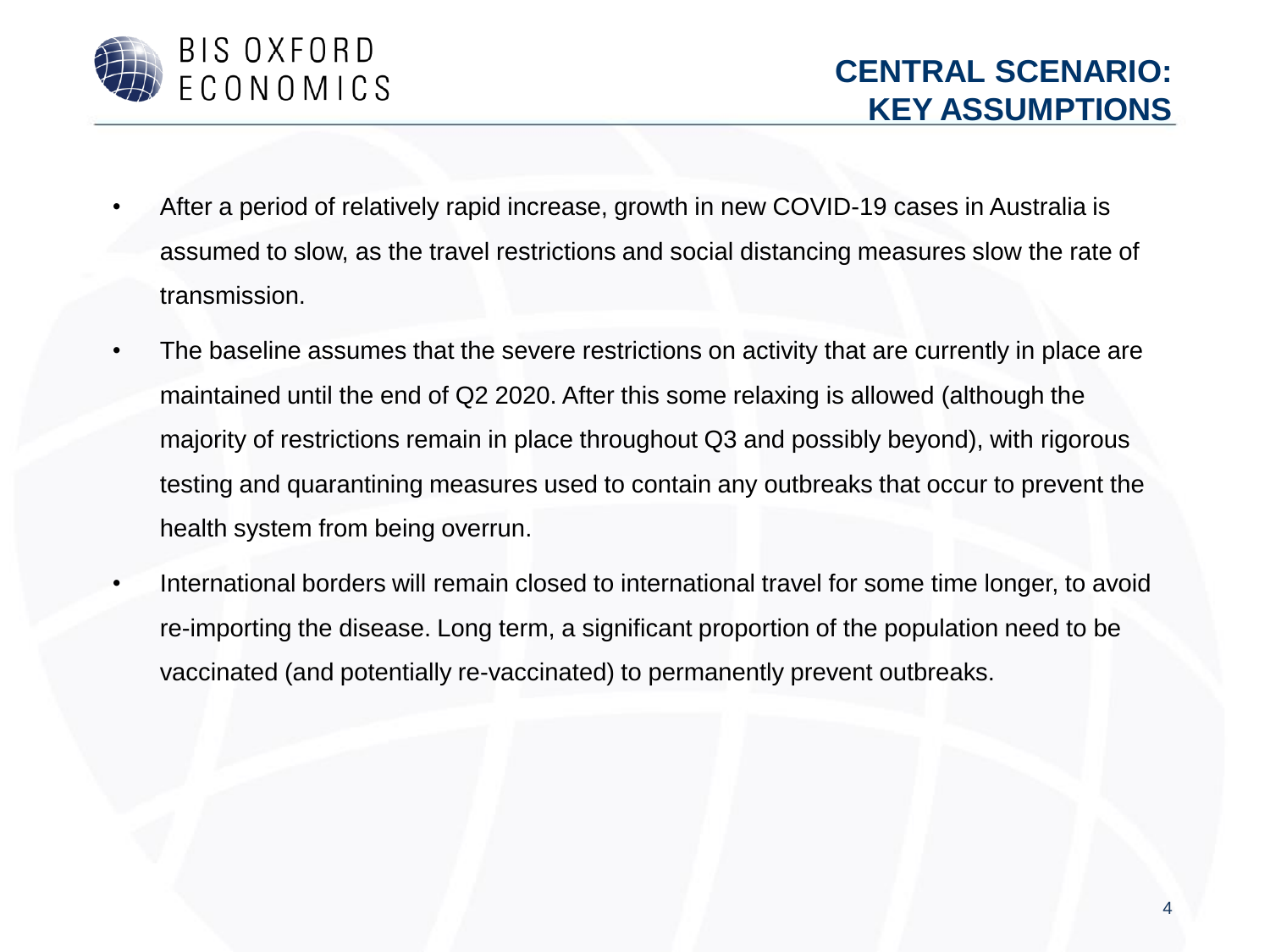

- After a period of relatively rapid increase, growth in new COVID-19 cases in Australia is assumed to slow, as the travel restrictions and social distancing measures slow the rate of transmission.
- The baseline assumes that the severe restrictions on activity that are currently in place are maintained until the end of Q2 2020. After this some relaxing is allowed (although the majority of restrictions remain in place throughout Q3 and possibly beyond), with rigorous testing and quarantining measures used to contain any outbreaks that occur to prevent the health system from being overrun.
- International borders will remain closed to international travel for some time longer, to avoid re-importing the disease. Long term, a significant proportion of the population need to be vaccinated (and potentially re-vaccinated) to permanently prevent outbreaks.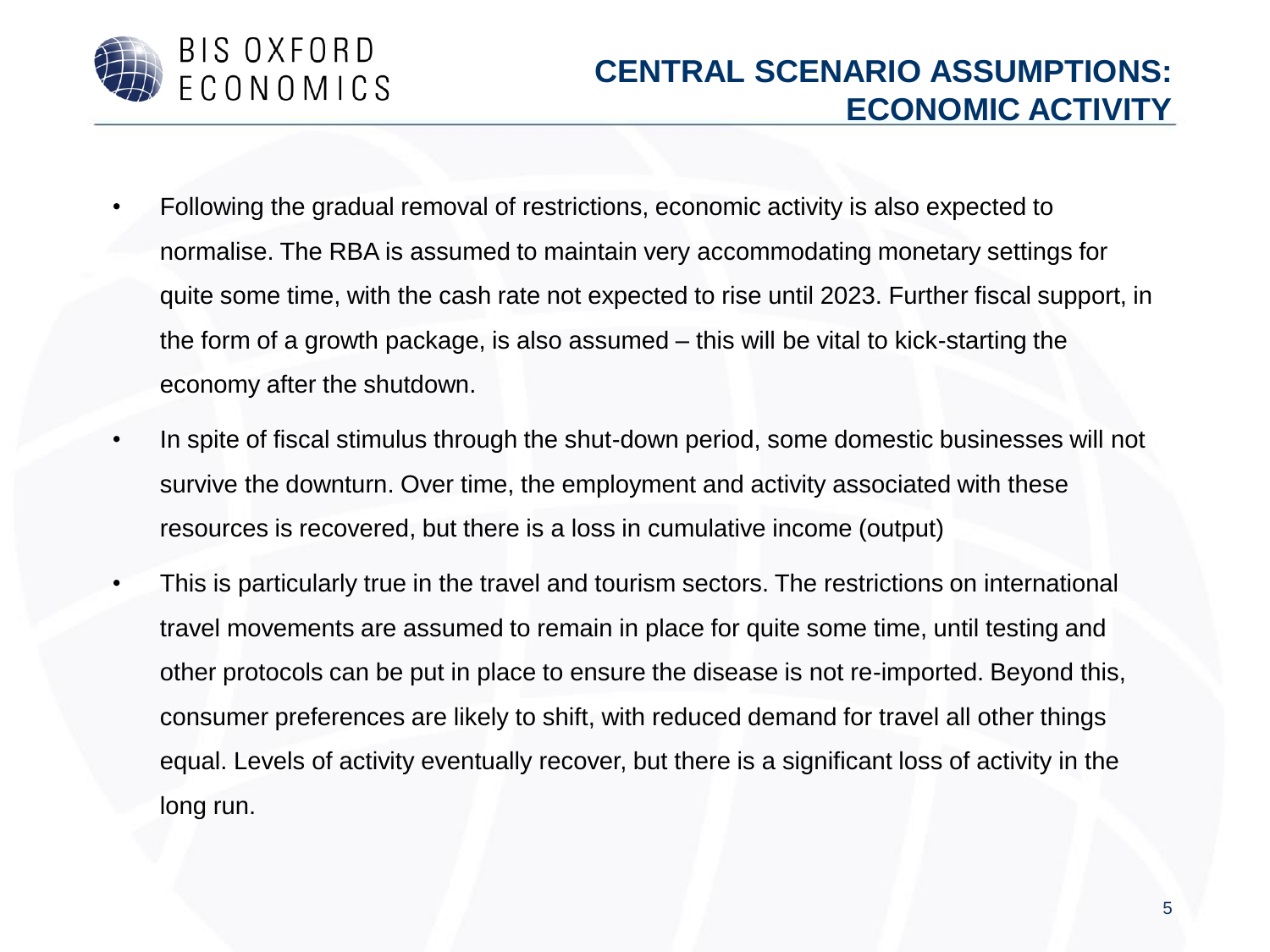

- Following the gradual removal of restrictions, economic activity is also expected to normalise. The RBA is assumed to maintain very accommodating monetary settings for quite some time, with the cash rate not expected to rise until 2023. Further fiscal support, in the form of a growth package, is also assumed – this will be vital to kick-starting the economy after the shutdown.
- In spite of fiscal stimulus through the shut-down period, some domestic businesses will not survive the downturn. Over time, the employment and activity associated with these resources is recovered, but there is a loss in cumulative income (output)
- This is particularly true in the travel and tourism sectors. The restrictions on international travel movements are assumed to remain in place for quite some time, until testing and other protocols can be put in place to ensure the disease is not re-imported. Beyond this, consumer preferences are likely to shift, with reduced demand for travel all other things equal. Levels of activity eventually recover, but there is a significant loss of activity in the long run.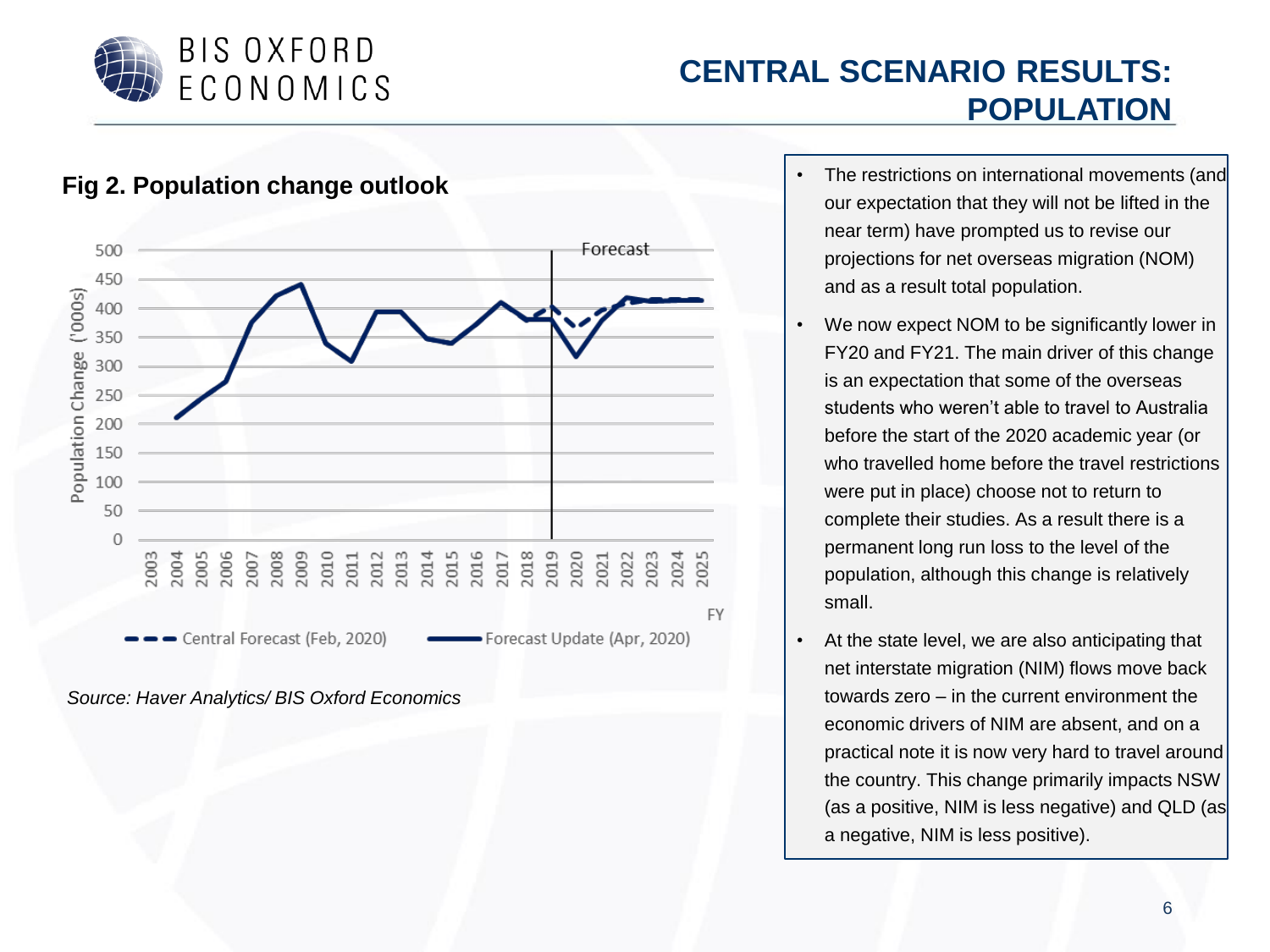

#### **CENTRAL SCENARIO RESULTS: POPULATION**



- The restrictions on international movements (and our expectation that they will not be lifted in the near term) have prompted us to revise our projections for net overseas migration (NOM) and as a result total population.
- We now expect NOM to be significantly lower in FY20 and FY21. The main driver of this change is an expectation that some of the overseas students who weren't able to travel to Australia before the start of the 2020 academic year (or who travelled home before the travel restrictions were put in place) choose not to return to complete their studies. As a result there is a permanent long run loss to the level of the population, although this change is relatively small.
- At the state level, we are also anticipating that net interstate migration (NIM) flows move back towards zero – in the current environment the economic drivers of NIM are absent, and on a practical note it is now very hard to travel around the country. This change primarily impacts NSW (as a positive, NIM is less negative) and QLD (as a negative, NIM is less positive).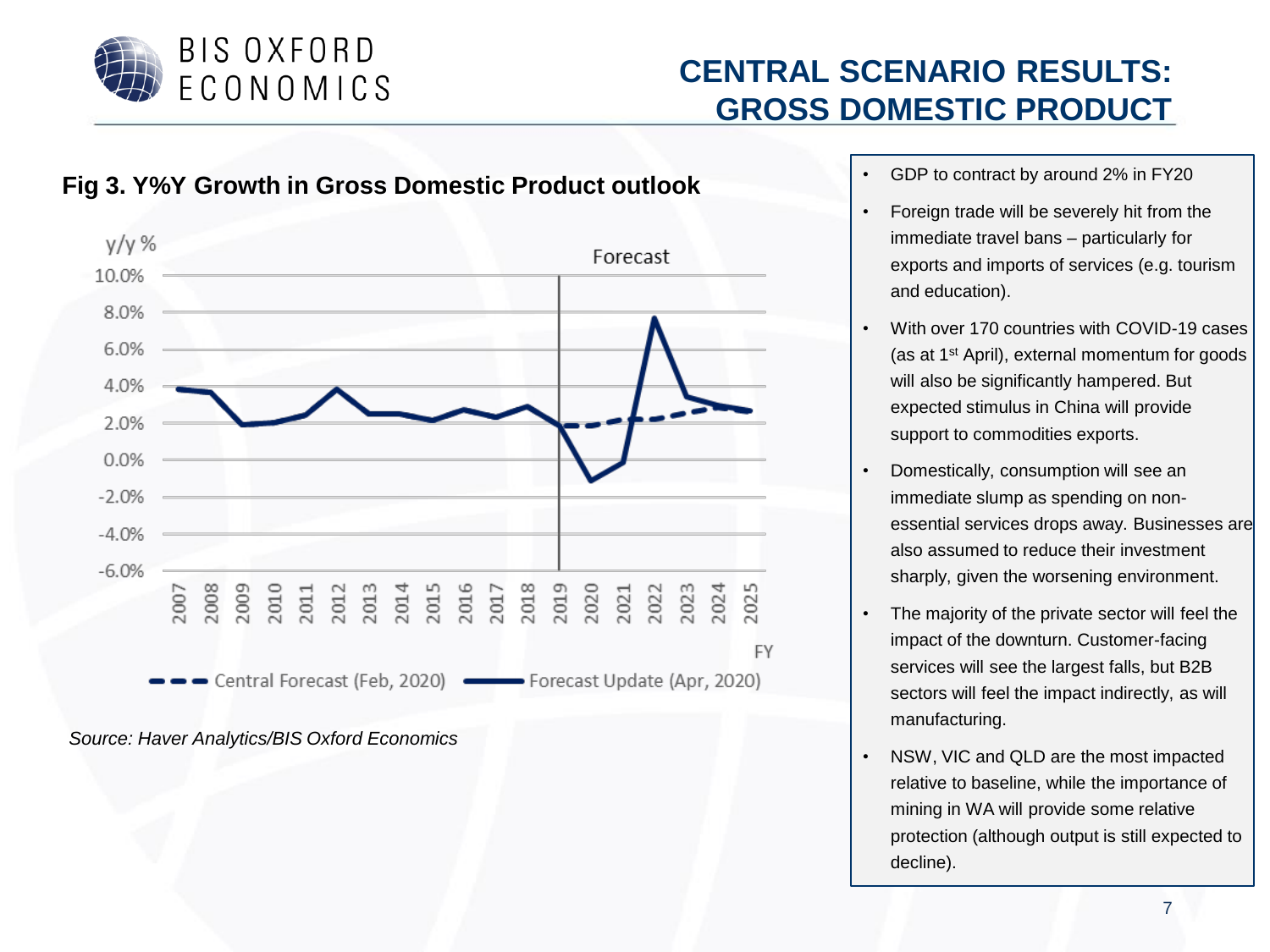

#### **CENTRAL SCENARIO RESULTS: GROSS DOMESTIC PRODUCT**

#### **Fig 3. Y%Y Growth in Gross Domestic Product outlook**



- GDP to contract by around 2% in FY20
- Foreign trade will be severely hit from the immediate travel bans – particularly for exports and imports of services (e.g. tourism and education).
- With over 170 countries with COVID-19 cases (as at 1st April), external momentum for goods will also be significantly hampered. But expected stimulus in China will provide support to commodities exports.
- Domestically, consumption will see an immediate slump as spending on nonessential services drops away. Businesses are also assumed to reduce their investment sharply, given the worsening environment.
- The majority of the private sector will feel the impact of the downturn. Customer-facing services will see the largest falls, but B2B sectors will feel the impact indirectly, as will manufacturing.
- NSW, VIC and QLD are the most impacted relative to baseline, while the importance of mining in WA will provide some relative protection (although output is still expected to decline).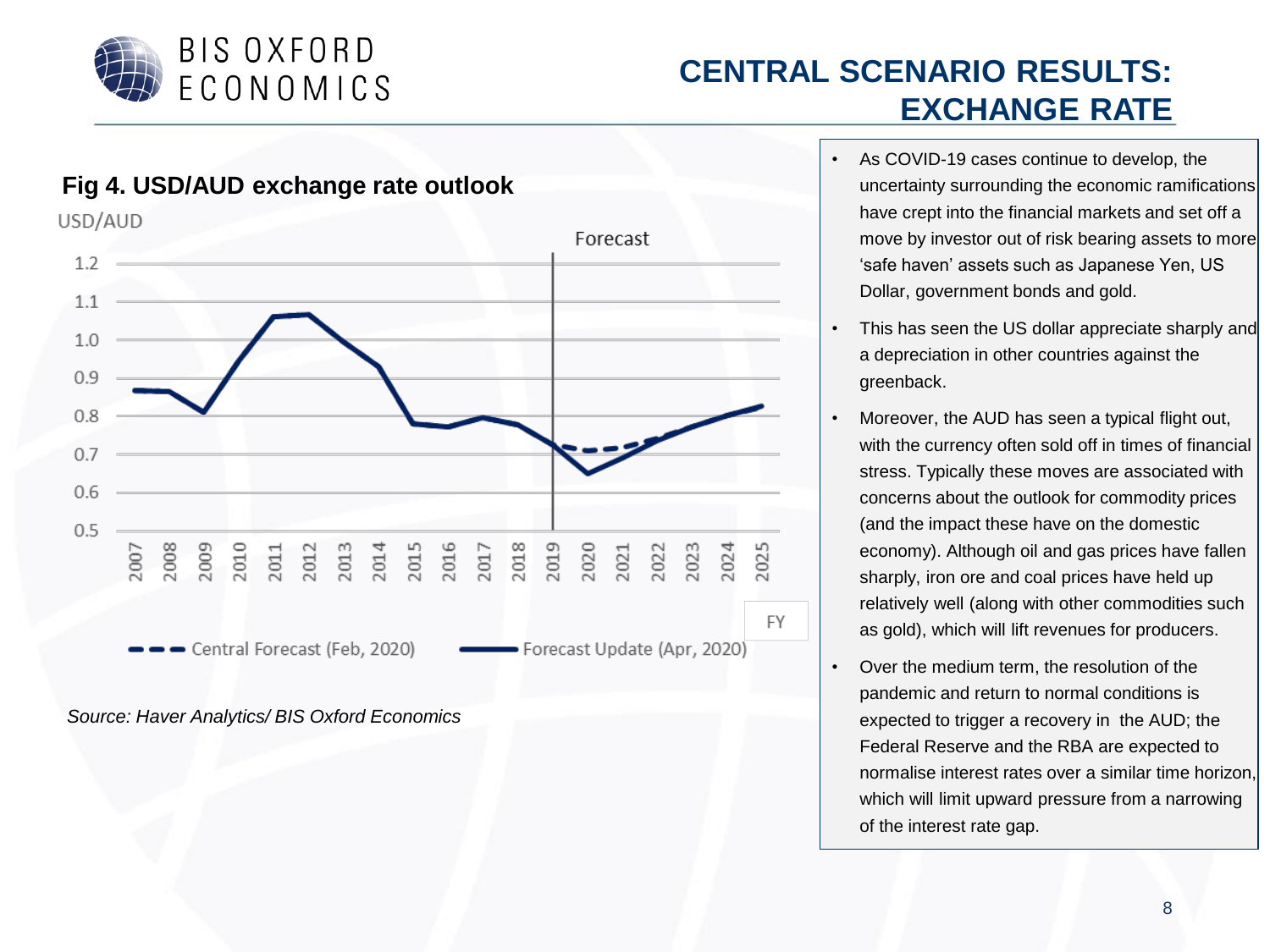

## **CENTRAL SCENARIO RESULTS: EXCHANGE RATE**

- As COVID-19 cases continue to develop, the uncertainty surrounding the economic ramifications have crept into the financial markets and set off a move by investor out of risk bearing assets to more 'safe haven' assets such as Japanese Yen, US Dollar, government bonds and gold.
- This has seen the US dollar appreciate sharply and a depreciation in other countries against the greenback.
- Moreover, the AUD has seen a typical flight out, with the currency often sold off in times of financial stress. Typically these moves are associated with concerns about the outlook for commodity prices (and the impact these have on the domestic economy). Although oil and gas prices have fallen sharply, iron ore and coal prices have held up relatively well (along with other commodities such as gold), which will lift revenues for producers.
- Over the medium term, the resolution of the pandemic and return to normal conditions is expected to trigger a recovery in the AUD; the Federal Reserve and the RBA are expected to normalise interest rates over a similar time horizon, which will limit upward pressure from a narrowing of the interest rate gap.

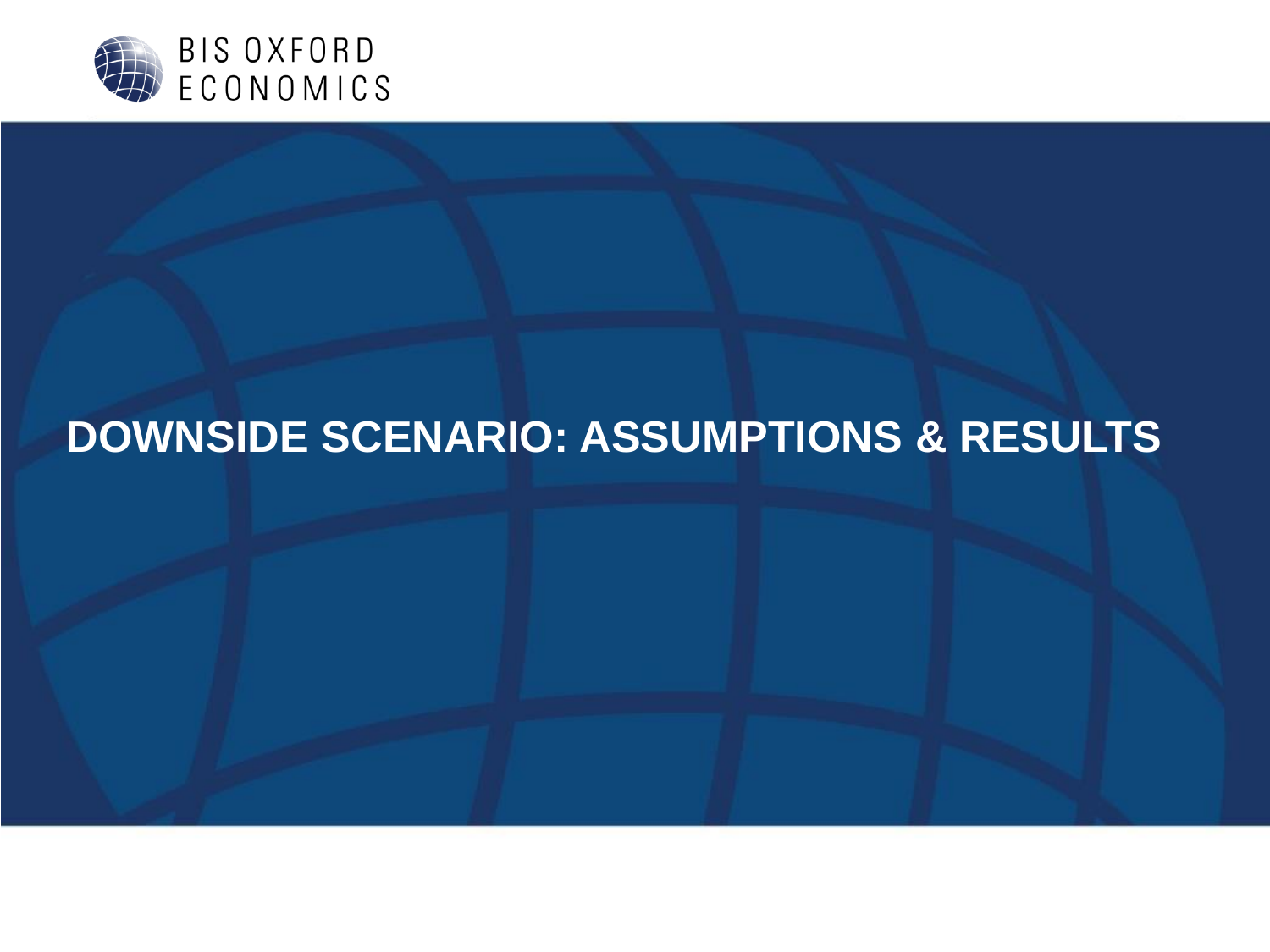

# **DOWNSIDE SCENARIO: ASSUMPTIONS & RESULTS**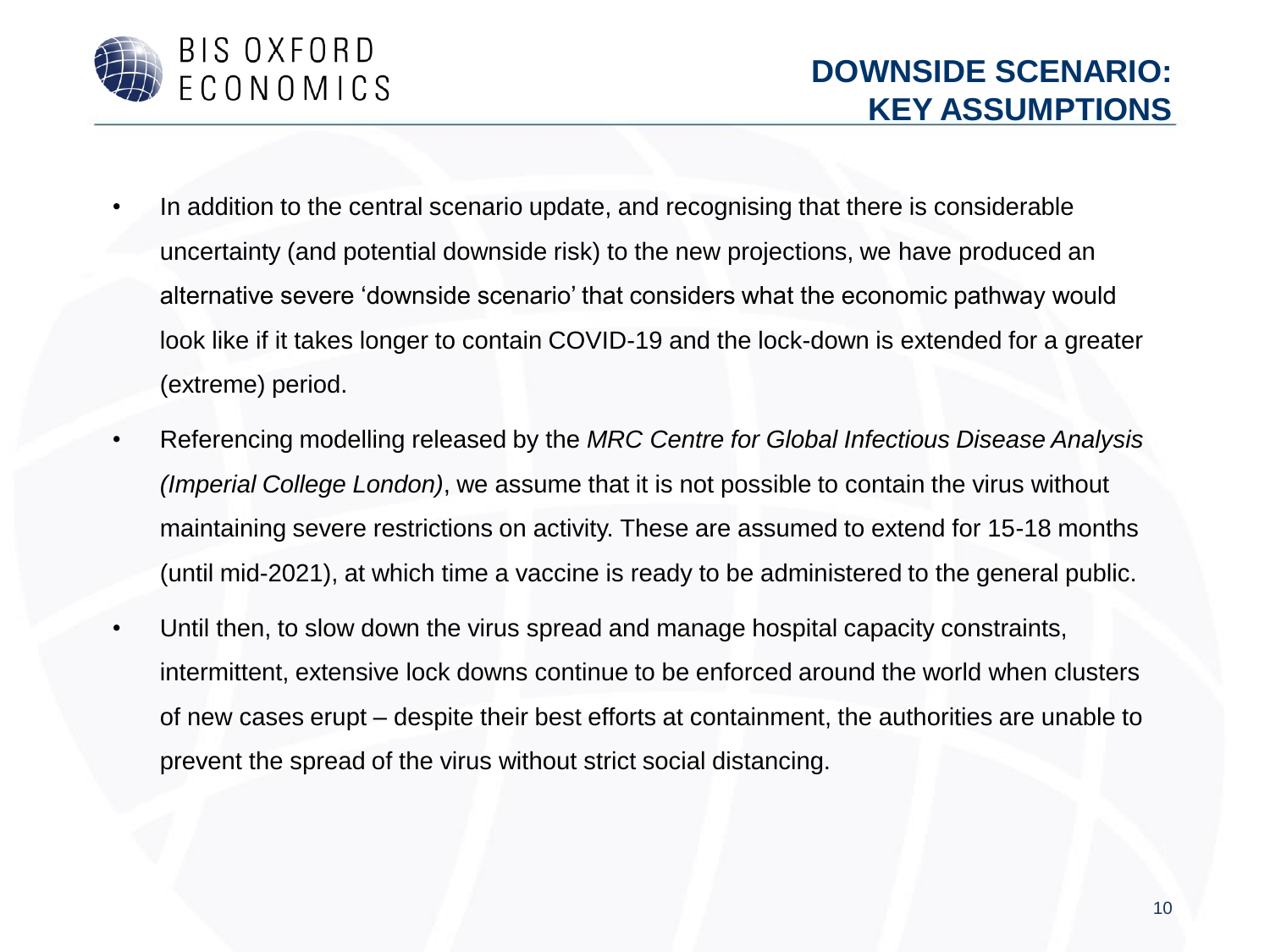

- In addition to the central scenario update, and recognising that there is considerable uncertainty (and potential downside risk) to the new projections, we have produced an alternative severe 'downside scenario' that considers what the economic pathway would look like if it takes longer to contain COVID-19 and the lock-down is extended for a greater (extreme) period.
- Referencing modelling released by the *MRC Centre for Global Infectious Disease Analysis (Imperial College London)*, we assume that it is not possible to contain the virus without maintaining severe restrictions on activity. These are assumed to extend for 15-18 months (until mid-2021), at which time a vaccine is ready to be administered to the general public.
- Until then, to slow down the virus spread and manage hospital capacity constraints, intermittent, extensive lock downs continue to be enforced around the world when clusters of new cases erupt – despite their best efforts at containment, the authorities are unable to prevent the spread of the virus without strict social distancing.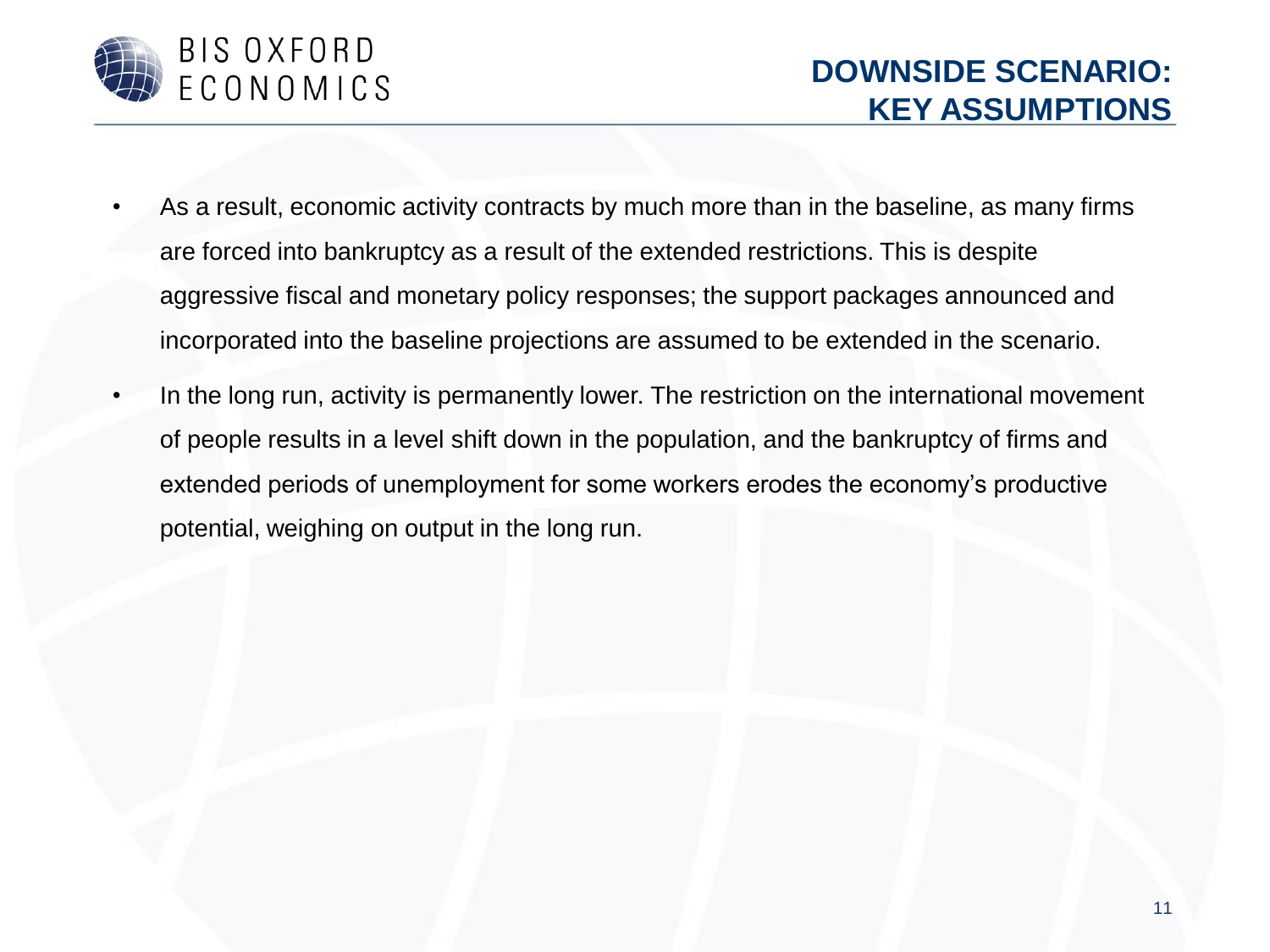

- As a result, economic activity contracts by much more than in the baseline, as many firms are forced into bankruptcy as a result of the extended restrictions. This is despite aggressive fiscal and monetary policy responses; the support packages announced and incorporated into the baseline projections are assumed to be extended in the scenario.
- In the long run, activity is permanently lower. The restriction on the international movement of people results in a level shift down in the population, and the bankruptcy of firms and extended periods of unemployment for some workers erodes the economy's productive potential, weighing on output in the long run.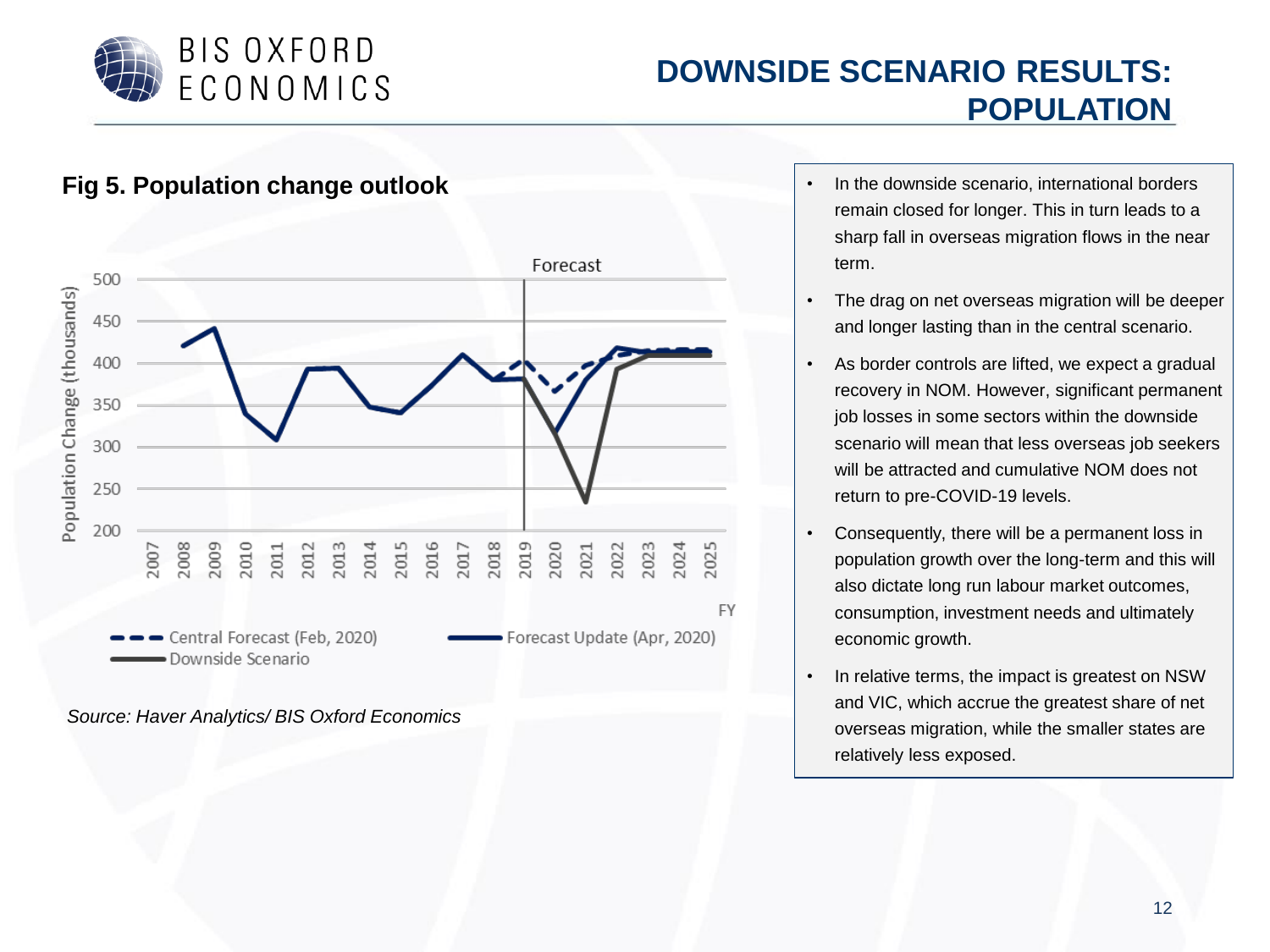

#### **DOWNSIDE SCENARIO RESULTS: POPULATION**



- remain closed for longer. This in turn leads to a sharp fall in overseas migration flows in the near term.
- The drag on net overseas migration will be deeper and longer lasting than in the central scenario.
- As border controls are lifted, we expect a gradual recovery in NOM. However, significant permanent job losses in some sectors within the downside scenario will mean that less overseas job seekers will be attracted and cumulative NOM does not return to pre-COVID-19 levels.
- Consequently, there will be a permanent loss in population growth over the long-term and this will also dictate long run labour market outcomes, consumption, investment needs and ultimately economic growth.
- In relative terms, the impact is greatest on NSW and VIC, which accrue the greatest share of net overseas migration, while the smaller states are relatively less exposed.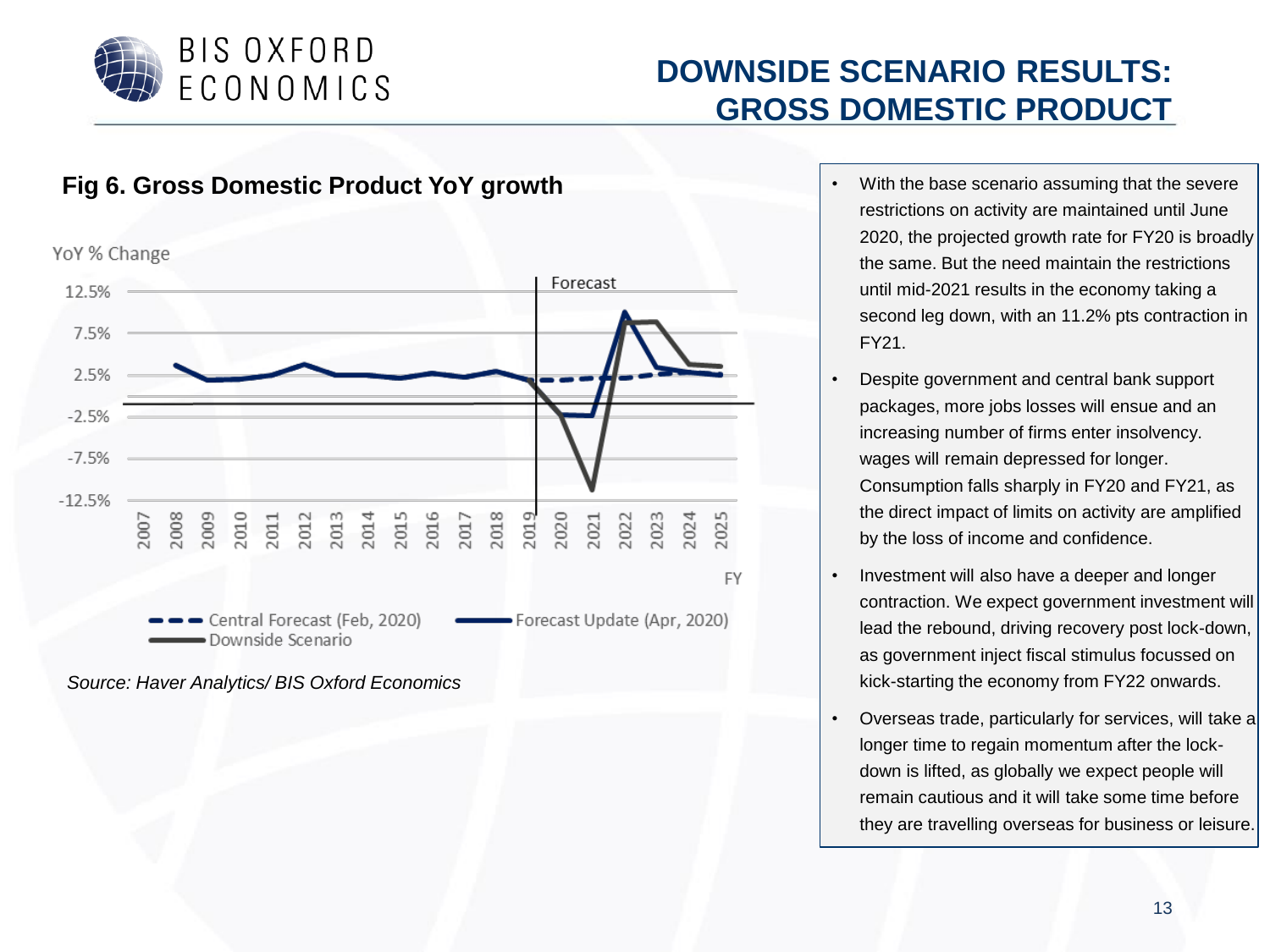

## **DOWNSIDE SCENARIO RESULTS: GROSS DOMESTIC PRODUCT**



*Source: Haver Analytics/ BIS Oxford Economics*

- restrictions on activity are maintained until June 2020, the projected growth rate for FY20 is broadly the same. But the need maintain the restrictions until mid-2021 results in the economy taking a second leg down, with an 11.2% pts contraction in FY21.
- Despite government and central bank support packages, more jobs losses will ensue and an increasing number of firms enter insolvency. wages will remain depressed for longer. Consumption falls sharply in FY20 and FY21, as the direct impact of limits on activity are amplified by the loss of income and confidence.
- Investment will also have a deeper and longer contraction. We expect government investment will lead the rebound, driving recovery post lock-down, as government inject fiscal stimulus focussed on kick-starting the economy from FY22 onwards.
- Overseas trade, particularly for services, will take a longer time to regain momentum after the lockdown is lifted, as globally we expect people will remain cautious and it will take some time before they are travelling overseas for business or leisure.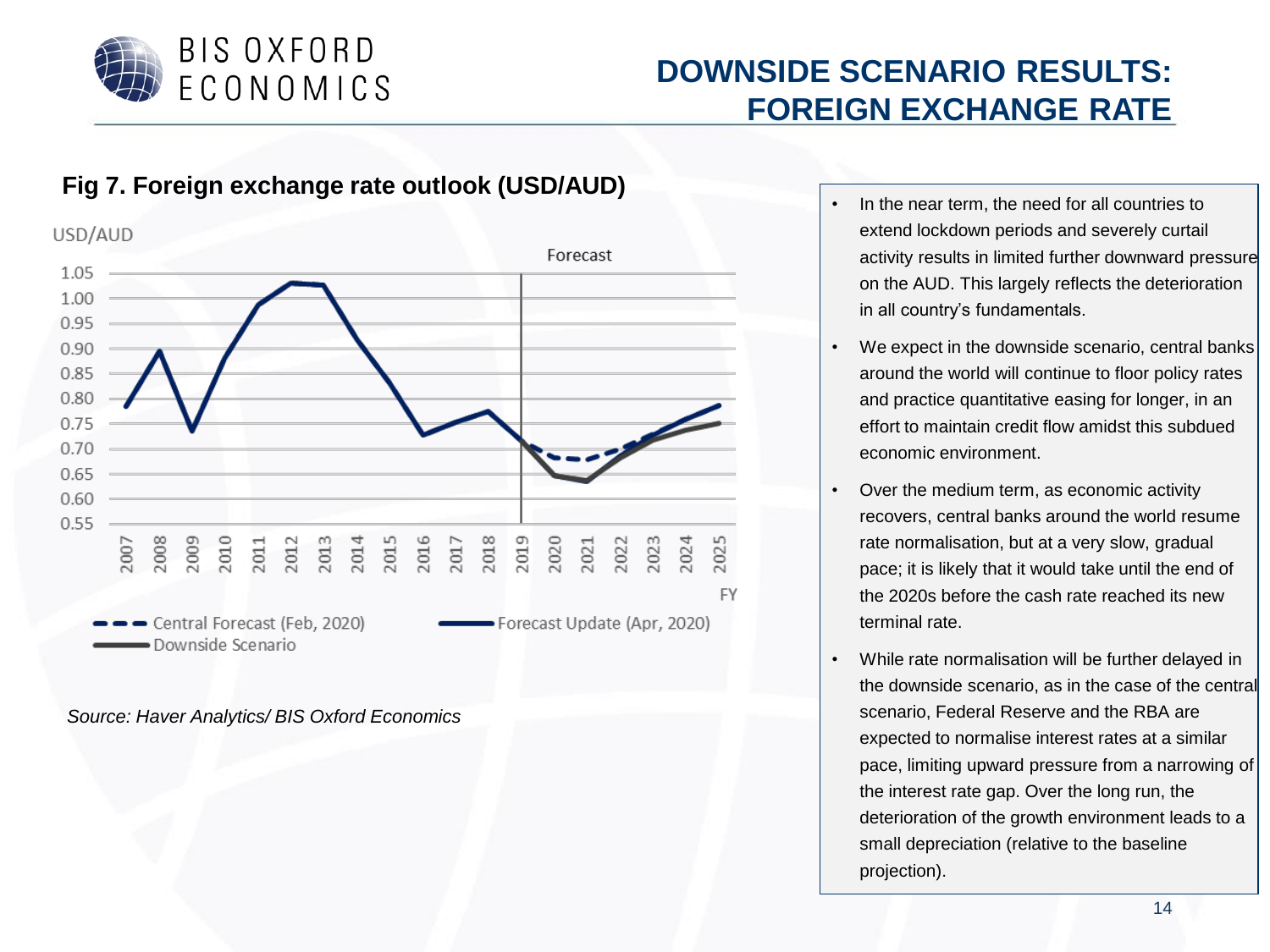

## **DOWNSIDE SCENARIO RESULTS: FOREIGN EXCHANGE RATE**



#### **Fig 7. Foreign exchange rate outlook (USD/AUD)**

- In the near term, the need for all countries to extend lockdown periods and severely curtail activity results in limited further downward pressure on the AUD. This largely reflects the deterioration in all country's fundamentals.
- We expect in the downside scenario, central banks around the world will continue to floor policy rates and practice quantitative easing for longer, in an effort to maintain credit flow amidst this subdued economic environment.
- Over the medium term, as economic activity recovers, central banks around the world resume rate normalisation, but at a very slow, gradual pace; it is likely that it would take until the end of the 2020s before the cash rate reached its new terminal rate.
- While rate normalisation will be further delayed in the downside scenario, as in the case of the central scenario, Federal Reserve and the RBA are expected to normalise interest rates at a similar pace, limiting upward pressure from a narrowing of the interest rate gap. Over the long run, the deterioration of the growth environment leads to a small depreciation (relative to the baseline projection).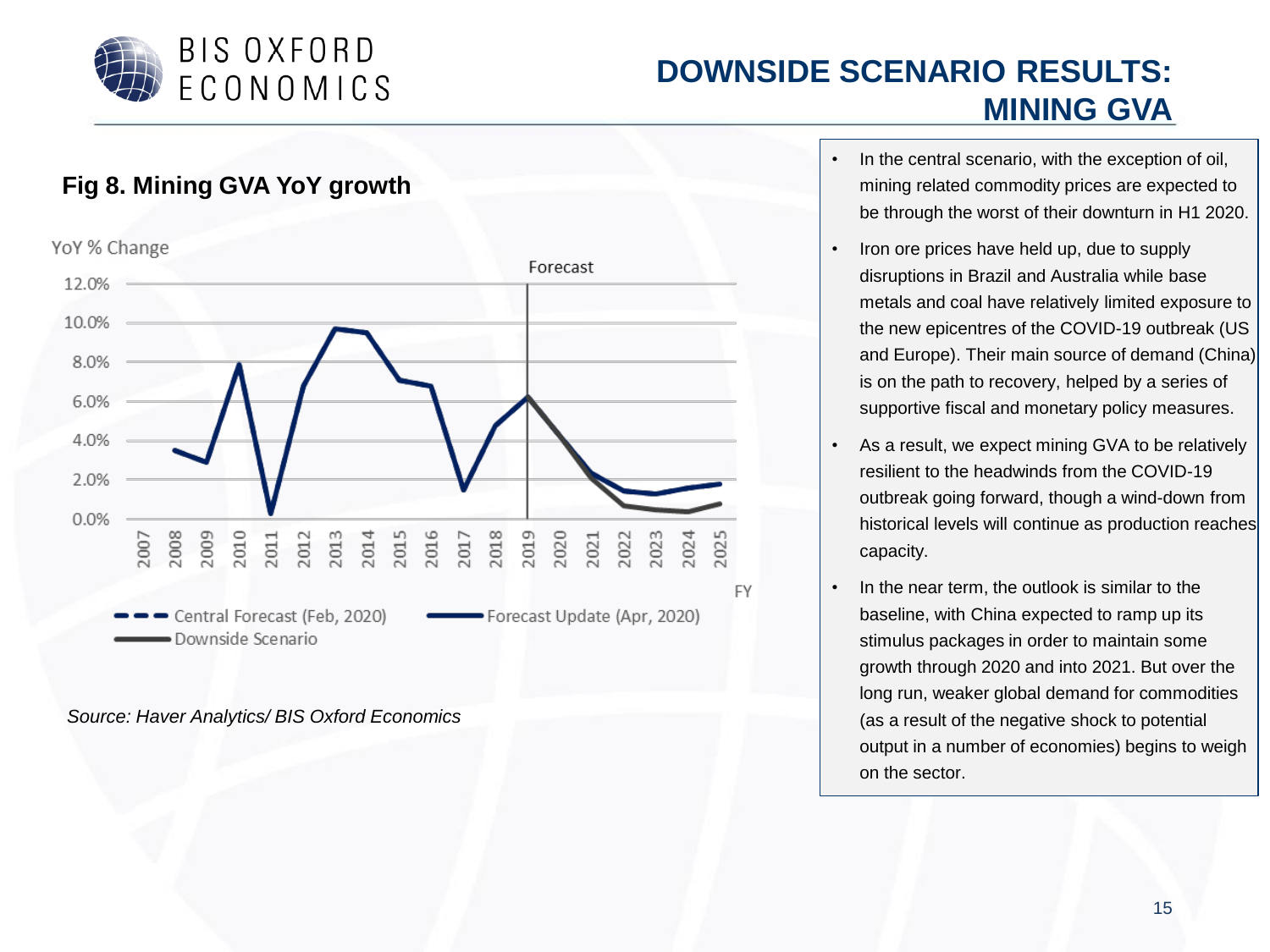

### **DOWNSIDE SCENARIO RESULTS: MINING GVA**



- In the central scenario, with the exception of oil, mining related commodity prices are expected to be through the worst of their downturn in H1 2020.
- Iron ore prices have held up, due to supply disruptions in Brazil and Australia while base metals and coal have relatively limited exposure to the new epicentres of the COVID-19 outbreak (US and Europe). Their main source of demand (China) is on the path to recovery, helped by a series of supportive fiscal and monetary policy measures.
- As a result, we expect mining GVA to be relatively resilient to the headwinds from the COVID-19 outbreak going forward, though a wind-down from historical levels will continue as production reaches capacity.
- In the near term, the outlook is similar to the baseline, with China expected to ramp up its stimulus packages in order to maintain some growth through 2020 and into 2021. But over the long run, weaker global demand for commodities (as a result of the negative shock to potential output in a number of economies) begins to weigh on the sector.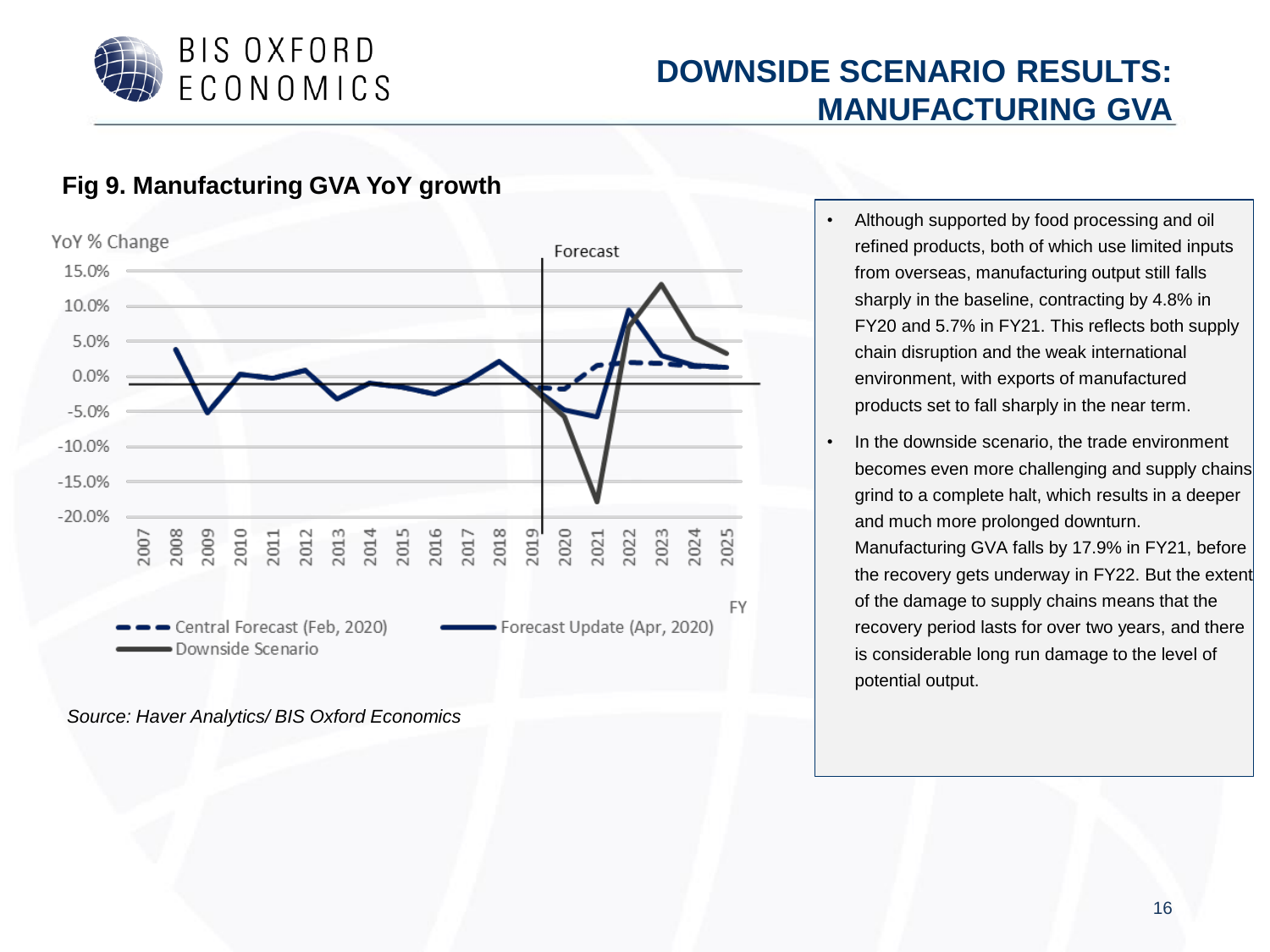

#### **DOWNSIDE SCENARIO RESULTS: MANUFACTURING GVA**

#### **Fig 9. Manufacturing GVA YoY growth**



- Although supported by food processing and oil refined products, both of which use limited inputs from overseas, manufacturing output still falls sharply in the baseline, contracting by 4.8% in FY20 and 5.7% in FY21. This reflects both supply chain disruption and the weak international environment, with exports of manufactured products set to fall sharply in the near term.
- In the downside scenario, the trade environment becomes even more challenging and supply chains grind to a complete halt, which results in a deeper and much more prolonged downturn. Manufacturing GVA falls by 17.9% in FY21, before the recovery gets underway in FY22. But the extent of the damage to supply chains means that the recovery period lasts for over two years, and there is considerable long run damage to the level of potential output.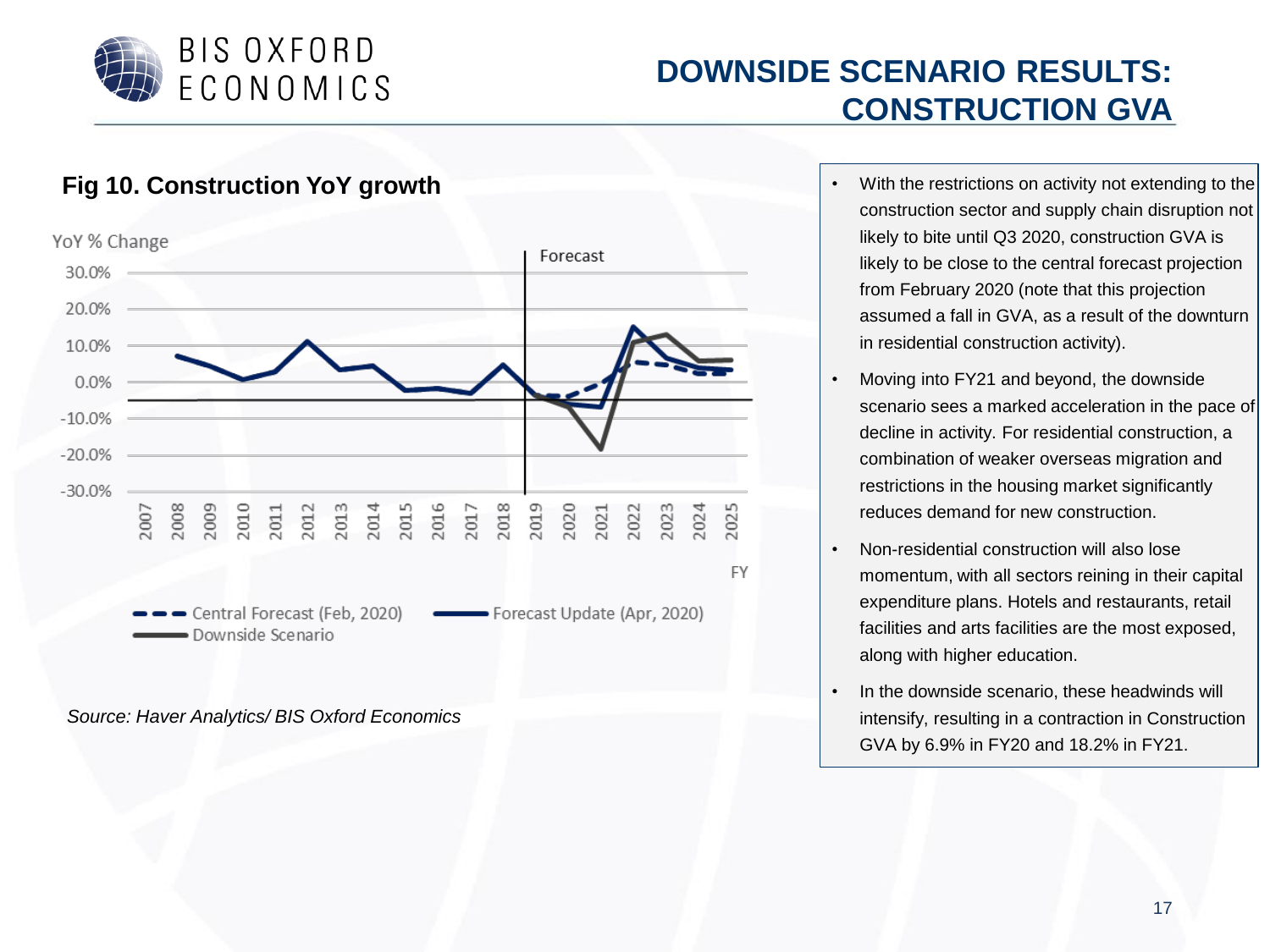

#### **DOWNSIDE SCENARIO RESULTS: CONSTRUCTION GVA**

- **Fig 10. Construction YoY growth Fig 10. Construction YoY growth**  $\cdot$  With the restrictions on activity not extending to the construction sector and supply chain disruption not likely to bite until Q3 2020, construction GVA is likely to be close to the central forecast projection from February 2020 (note that this projection assumed a fall in GVA, as a result of the downturn in residential construction activity).
	- Moving into FY21 and beyond, the downside scenario sees a marked acceleration in the pace of decline in activity. For residential construction, a combination of weaker overseas migration and restrictions in the housing market significantly reduces demand for new construction.
	- Non-residential construction will also lose momentum, with all sectors reining in their capital expenditure plans. Hotels and restaurants, retail facilities and arts facilities are the most exposed, along with higher education.
	- In the downside scenario, these headwinds will intensify, resulting in a contraction in Construction GVA by 6.9% in FY20 and 18.2% in FY21.

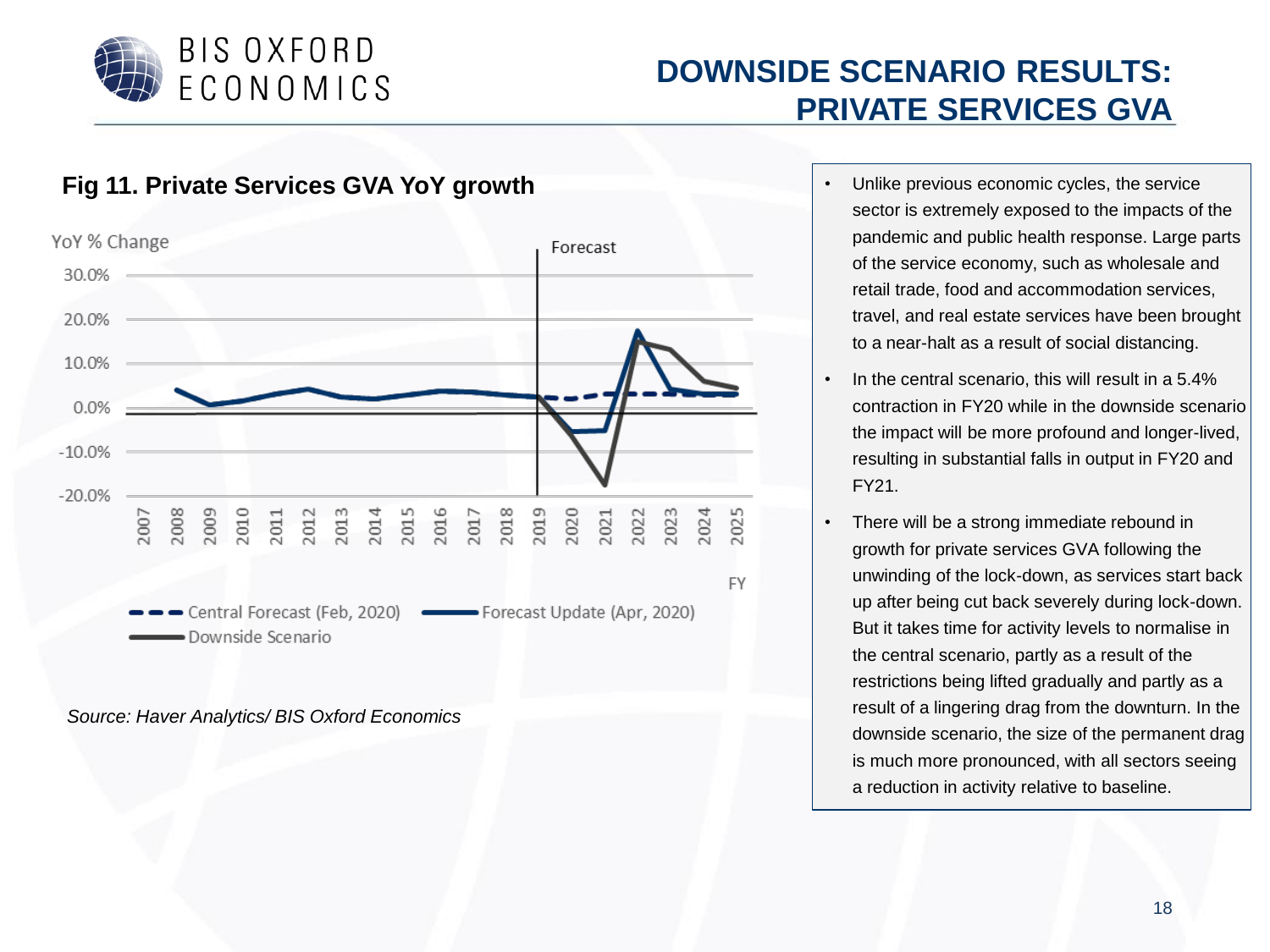

## **DOWNSIDE SCENARIO RESULTS: PRIVATE SERVICES GVA**

**Fig 11. Private Services GVA YoY growth Fig 11. Private Service** service YoY % Change Forecast 30.0% 20.0% 10.0%  $0.0%$  $-10.0%$  $-20.0%$ 2016 2018 2019 2020 2007 2008 2009 2010 2012 2013 2014 2015 2017 2021 2022 2023 2024 2025 2011 **FY** Central Forecast (Feb, 2020) Center and Forecast Update (Apr, 2020) Downside Scenario

- sector is extremely exposed to the impacts of the pandemic and public health response. Large parts of the service economy, such as wholesale and retail trade, food and accommodation services, travel, and real estate services have been brought to a near-halt as a result of social distancing.
- In the central scenario, this will result in a 5.4% contraction in FY20 while in the downside scenario the impact will be more profound and longer-lived, resulting in substantial falls in output in FY20 and FY21.
- There will be a strong immediate rebound in growth for private services GVA following the unwinding of the lock-down, as services start back up after being cut back severely during lock-down. But it takes time for activity levels to normalise in the central scenario, partly as a result of the restrictions being lifted gradually and partly as a result of a lingering drag from the downturn. In the downside scenario, the size of the permanent drag is much more pronounced, with all sectors seeing a reduction in activity relative to baseline.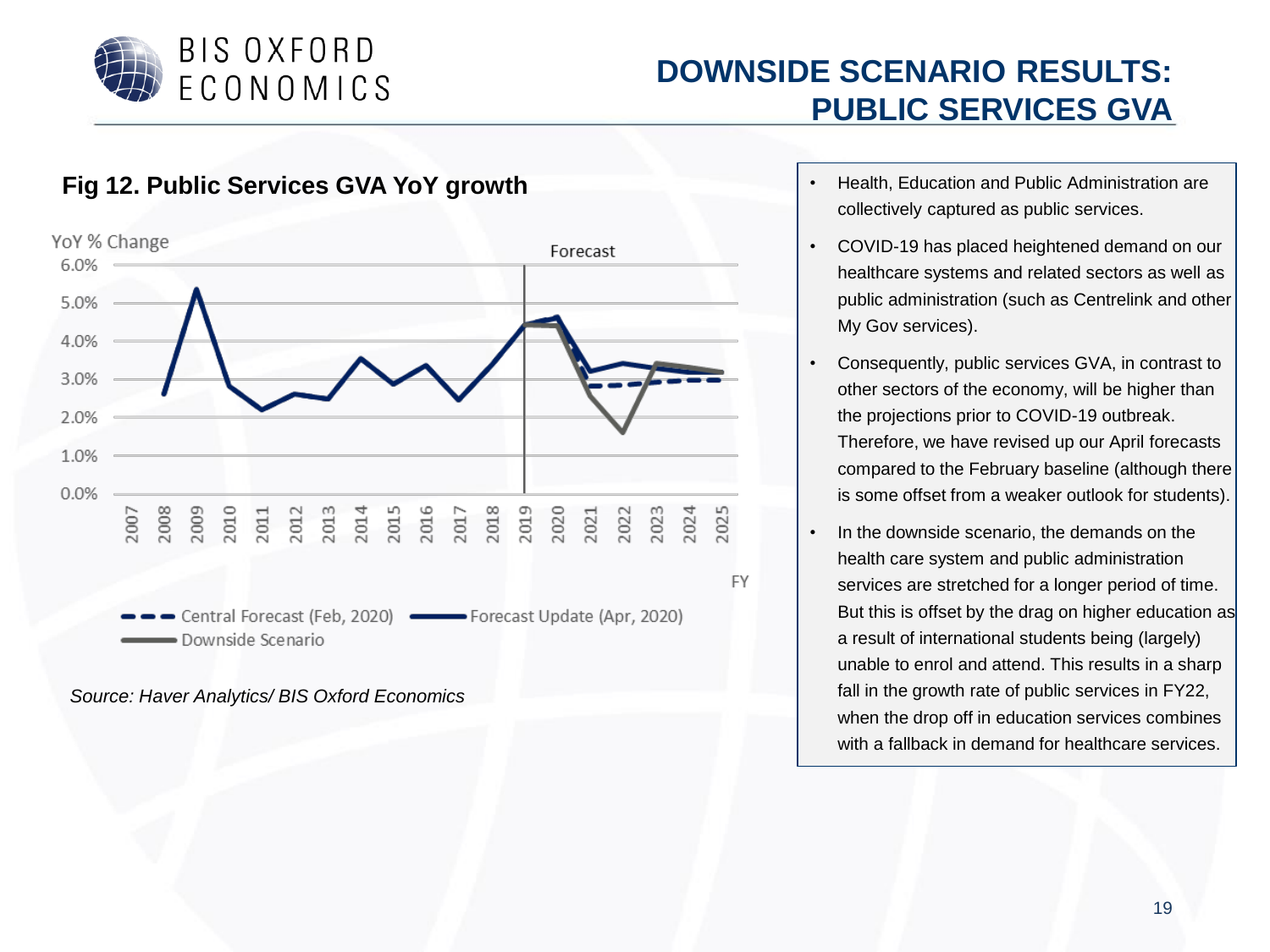

#### **DOWNSIDE SCENARIO RESULTS: PUBLIC SERVICES GVA**



- collectively captured as public services.
- COVID-19 has placed heightened demand on our healthcare systems and related sectors as well as public administration (such as Centrelink and other My Gov services).
- Consequently, public services GVA, in contrast to other sectors of the economy, will be higher than the projections prior to COVID-19 outbreak. Therefore, we have revised up our April forecasts compared to the February baseline (although there is some offset from a weaker outlook for students).
- In the downside scenario, the demands on the health care system and public administration services are stretched for a longer period of time. But this is offset by the drag on higher education as a result of international students being (largely) unable to enrol and attend. This results in a sharp fall in the growth rate of public services in FY22, when the drop off in education services combines with a fallback in demand for healthcare services.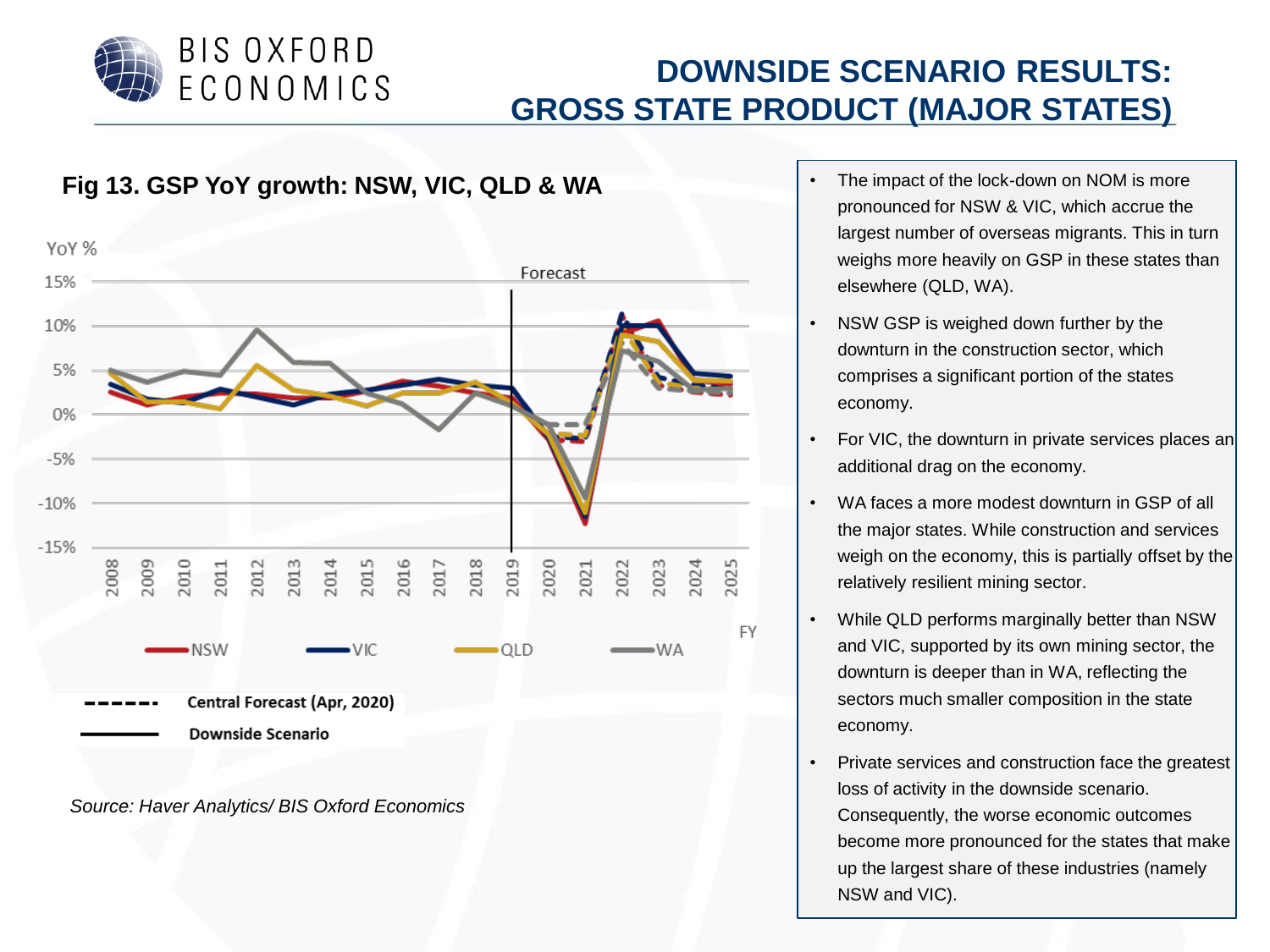

## **DOWNSIDE SCENARIO RESULTS: GROSS STATE PRODUCT (MAJOR STATES)**



- pronounced for NSW & VIC, which accrue the largest number of overseas migrants. This in turn weighs more heavily on GSP in these states than elsewhere (QLD, WA).
- NSW GSP is weighed down further by the downturn in the construction sector, which comprises a significant portion of the states economy.
- For VIC, the downturn in private services places an additional drag on the economy.
- WA faces a more modest downturn in GSP of all the major states. While construction and services weigh on the economy, this is partially offset by the relatively resilient mining sector.
- While QLD performs marginally better than NSW and VIC, supported by its own mining sector, the downturn is deeper than in WA, reflecting the sectors much smaller composition in the state economy.
- Private services and construction face the greatest loss of activity in the downside scenario. Consequently, the worse economic outcomes become more pronounced for the states that make up the largest share of these industries (namely NSW and VIC).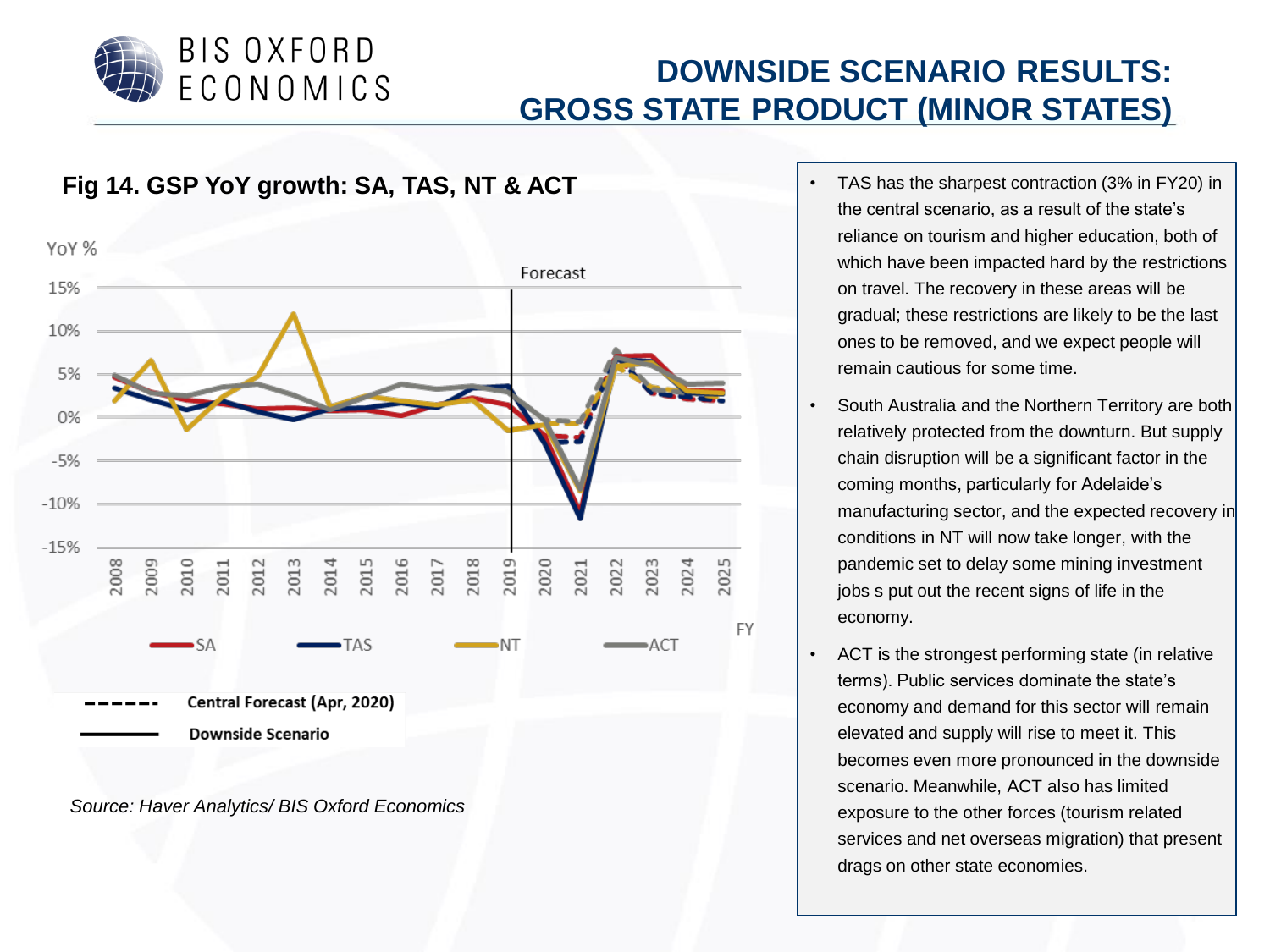

## **DOWNSIDE SCENARIO RESULTS: GROSS STATE PRODUCT (MINOR STATES)**



- the central scenario, as a result of the state's reliance on tourism and higher education, both of which have been impacted hard by the restrictions on travel. The recovery in these areas will be gradual; these restrictions are likely to be the last ones to be removed, and we expect people will remain cautious for some time.
- South Australia and the Northern Territory are both relatively protected from the downturn. But supply chain disruption will be a significant factor in the coming months, particularly for Adelaide's manufacturing sector, and the expected recovery in conditions in NT will now take longer, with the pandemic set to delay some mining investment jobs s put out the recent signs of life in the economy.
- ACT is the strongest performing state (in relative terms). Public services dominate the state's economy and demand for this sector will remain elevated and supply will rise to meet it. This becomes even more pronounced in the downside scenario. Meanwhile, ACT also has limited exposure to the other forces (tourism related services and net overseas migration) that present drags on other state economies.

21